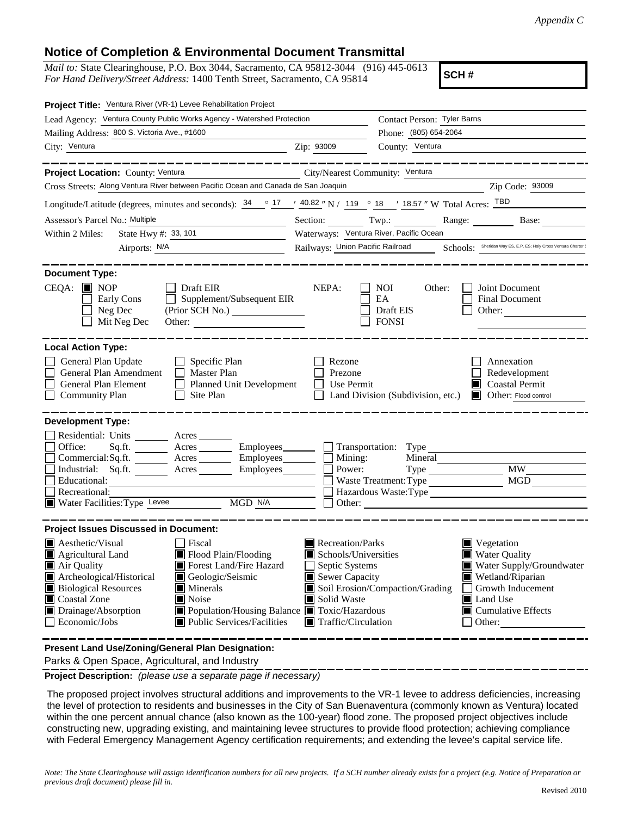## **Notice of Completion & Environmental Document Transmittal**

*Mail to:* State Clearinghouse, P.O. Box 3044, Sacramento, CA 95812-3044 (916) 445-0613 *For Hand Delivery/Street Address:* 1400 Tenth Street, Sacramento, CA 95814

**SCH #**

| Project Title: Ventura River (VR-1) Levee Rehabilitation Project                                                                       |                                                                                                                      |                                                                                                  |                                                   |                                                                 |  |  |
|----------------------------------------------------------------------------------------------------------------------------------------|----------------------------------------------------------------------------------------------------------------------|--------------------------------------------------------------------------------------------------|---------------------------------------------------|-----------------------------------------------------------------|--|--|
| Lead Agency: Ventura County Public Works Agency - Watershed Protection                                                                 |                                                                                                                      | Contact Person: Tyler Barns                                                                      |                                                   |                                                                 |  |  |
| Mailing Address: 800 S. Victoria Ave., #1600                                                                                           |                                                                                                                      |                                                                                                  | Phone: (805) 654-2064                             |                                                                 |  |  |
| City: Ventura                                                                                                                          | <u> 1989 - Johann Barnett, fransk politiker (</u>                                                                    | Zip: 93009                                                                                       | County: Ventura                                   |                                                                 |  |  |
| <b>Project Location:</b> County: Ventura <b>Community: Ventura</b> City/Nearest Community: Ventura                                     | _____________                                                                                                        |                                                                                                  |                                                   | __________________                                              |  |  |
| Cross Streets: Along Ventura River between Pacific Ocean and Canada de San Joaquin                                                     |                                                                                                                      |                                                                                                  |                                                   | Zip Code: 93009                                                 |  |  |
| Longitude/Latitude (degrees, minutes and seconds): $34 \degree$ 17 / $40.82 \degree$ N / 119 $\degree$ 18 / 18.57 " W Total Acres: TBD |                                                                                                                      |                                                                                                  |                                                   |                                                                 |  |  |
| Assessor's Parcel No.: Multiple                                                                                                        | <u> 1980 - Jan Stein Stein Stein Stein Stein Stein Stein Stein Stein Stein Stein Stein Stein Stein Stein Stein S</u> |                                                                                                  |                                                   | Section: Twp.: Range: Base:                                     |  |  |
| State Hwy #: 33, 101<br>Within 2 Miles:                                                                                                |                                                                                                                      | Waterways: Ventura River, Pacific Ocean                                                          |                                                   |                                                                 |  |  |
| Airports: <u>N/A</u>                                                                                                                   |                                                                                                                      | Railways: Union Pacific Railroad Schools: Sheridan Way ES, E.P. ES; Holy Cross Ventura Charter ( |                                                   |                                                                 |  |  |
|                                                                                                                                        |                                                                                                                      |                                                                                                  |                                                   |                                                                 |  |  |
| <b>Document Type:</b>                                                                                                                  | . __ _ _ _ _ _ _ _ _ _ _                                                                                             |                                                                                                  |                                                   |                                                                 |  |  |
| $CEQA: \blacksquare$ NOP<br>Draft EIR<br>Early Cons<br>$\perp$<br>$\Box$ Neg Dec<br>Mit Neg Dec                                        | Supplement/Subsequent EIR<br>(Prior SCH No.)<br>Other:                                                               | NEPA:                                                                                            | NOI.<br>Other:<br>EA<br>Draft EIS<br><b>FONSI</b> | Joint Document<br>Final Document<br>Other:                      |  |  |
| <b>Local Action Type:</b>                                                                                                              |                                                                                                                      |                                                                                                  |                                                   |                                                                 |  |  |
| General Plan Update                                                                                                                    | $\Box$ Specific Plan                                                                                                 | Rezone                                                                                           |                                                   | Annexation                                                      |  |  |
| General Plan Amendment                                                                                                                 | $\Box$ Master Plan                                                                                                   | Prezone                                                                                          |                                                   | Redevelopment                                                   |  |  |
| General Plan Element                                                                                                                   | Planned Unit Development                                                                                             | Use Permit                                                                                       |                                                   | $\Box$ Coastal Permit                                           |  |  |
| $\Box$ Site Plan<br><b>Community Plan</b><br>⊔                                                                                         |                                                                                                                      |                                                                                                  |                                                   | Land Division (Subdivision, etc.) <b>I</b> Other: Flood control |  |  |
| <b>Development Type:</b>                                                                                                               |                                                                                                                      |                                                                                                  |                                                   |                                                                 |  |  |
| Residential: Units ________ Acres _______                                                                                              |                                                                                                                      |                                                                                                  |                                                   |                                                                 |  |  |
| Office:<br>Sq.ft. _________ Acres ___________ Employees________                                                                        |                                                                                                                      |                                                                                                  | $\Box$ Transportation: Type                       |                                                                 |  |  |
| Commercial:Sq.ft. ________ Acres ________ Employees_______                                                                             |                                                                                                                      | Mining:                                                                                          | Mineral                                           |                                                                 |  |  |
| Industrial: Sq.ft. Acres Employees                                                                                                     |                                                                                                                      | Power:                                                                                           |                                                   | Type MW MW                                                      |  |  |
| $\Box$ Educational:                                                                                                                    |                                                                                                                      |                                                                                                  |                                                   |                                                                 |  |  |
| Recreational:                                                                                                                          |                                                                                                                      |                                                                                                  |                                                   | Hazardous Waste:Type                                            |  |  |
| Water Facilities: Type Levee                                                                                                           | MGD N/A                                                                                                              |                                                                                                  |                                                   |                                                                 |  |  |
| <b>Project Issues Discussed in Document:</b>                                                                                           |                                                                                                                      |                                                                                                  |                                                   |                                                                 |  |  |
| Aesthetic/Visual<br>$\Box$ Fiscal                                                                                                      |                                                                                                                      | Recreation/Parks                                                                                 |                                                   | $\blacksquare$ Vegetation                                       |  |  |
| Agricultural Land                                                                                                                      | Flood Plain/Flooding                                                                                                 | Schools/Universities                                                                             |                                                   | <b>Water Quality</b>                                            |  |  |
| Air Quality                                                                                                                            | Forest Land/Fire Hazard                                                                                              | $\Box$ Septic Systems                                                                            |                                                   | Water Supply/Groundwater                                        |  |  |
| Archeological/Historical                                                                                                               | Geologic/Seismic                                                                                                     | $\blacksquare$ Sewer Capacity                                                                    |                                                   | Wetland/Riparian                                                |  |  |
| <b>Biological Resources</b><br>$\blacksquare$ Minerals                                                                                 |                                                                                                                      |                                                                                                  | Soil Erosion/Compaction/Grading                   | Growth Inducement                                               |  |  |
| Coastal Zone<br>Noise                                                                                                                  |                                                                                                                      | Solid Waste                                                                                      |                                                   | Land Use                                                        |  |  |
| Drainage/Absorption                                                                                                                    | ■ Population/Housing Balance ■ Toxic/Hazardous                                                                       |                                                                                                  |                                                   | $\Box$ Cumulative Effects                                       |  |  |
| $\Box$ Economic/Jobs                                                                                                                   | $\blacksquare$ Public Services/Facilities                                                                            | $\blacksquare$ Traffic/Circulation                                                               |                                                   | $\Box$ Other:                                                   |  |  |
|                                                                                                                                        |                                                                                                                      |                                                                                                  |                                                   |                                                                 |  |  |
| Present Land Use/Zoning/General Plan Designation:                                                                                      |                                                                                                                      |                                                                                                  |                                                   |                                                                 |  |  |

Parks & Open Space, Agricultural, and Industry

**Project Description:** *(please use a separate page if necessary)*

 The proposed project involves structural additions and improvements to the VR-1 levee to address deficiencies, increasing the level of protection to residents and businesses in the City of San Buenaventura (commonly known as Ventura) located within the one percent annual chance (also known as the 100-year) flood zone. The proposed project objectives include constructing new, upgrading existing, and maintaining levee structures to provide flood protection; achieving compliance with Federal Emergency Management Agency certification requirements; and extending the levee's capital service life.

*Note: The State Clearinghouse will assign identification numbers for all new projects. If a SCH number already exists for a project (e.g. Notice of Preparation or previous draft document) please fill in.*